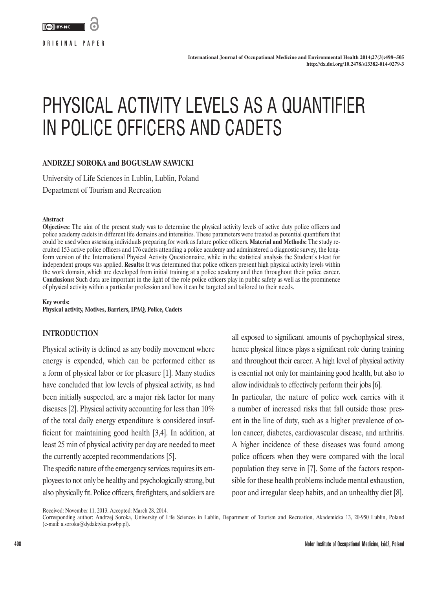**ORIGINAL PAPER**

# PHYSICAL ACTIVITY LEVELS AS A QUANTIFIER IN POLICE OFFICERS AND CADETS

# **ANDRZEJ SOROKA and BOGUSŁAW SAWICKI**

University of Life Sciences in Lublin, Lublin, Poland Department of Tourism and Recreation

#### **Abstract**

**Objectives:** The aim of the present study was to determine the physical activity levels of active duty police officers and police academy cadets in different life domains and intensities. These parameters were treated as potential quantifiers that could be used when assessing individuals preparing for work as future police officers. **Material and Methods:** The study recruited 153 active police officers and 176 cadets attending a police academy and administered a diagnostic survey, the longform version of the International Physical Activity Questionnaire, while in the statistical analysis the Student's t-test for independent groups was applied. **Results:** It was determined that police officers present high physical activity levels within the work domain, which are developed from initial training at a police academy and then throughout their police career. **Conclusions:** Such data are important in the light of the role police officers play in public safety as well as the prominence of physical activity within a particular profession and how it can be targeted and tailored to their needs.

**Key words: Physical activity, Motives, Barriers, IPAQ, Police, Cadets**

# **INTRODUCTION**

Physical activity is defined as any bodily movement where energy is expended, which can be performed either as a form of physical labor or for pleasure [1]. Many studies have concluded that low levels of physical activity, as had been initially suspected, are a major risk factor for many diseases [2]. Physical activity accounting for less than 10% of the total daily energy expenditure is considered insufficient for maintaining good health [3,4]. In addition, at least 25 min of physical activity per day are needed to meet the currently accepted recommendations [5].

The specific nature of the emergency services requires its employees to not only be healthy and psychologically strong, but also physically fit. Police officers, firefighters, and soldiers are

all exposed to significant amounts of psychophysical stress, hence physical fitness plays a significant role during training and throughout their career. A high level of physical activity is essential not only for maintaining good health, but also to allow individuals to effectively perform their jobs [6]. In particular, the nature of police work carries with it a number of increased risks that fall outside those present in the line of duty, such as a higher prevalence of colon cancer, diabetes, cardiovascular disease, and arthritis. A higher incidence of these diseases was found among police officers when they were compared with the local population they serve in [7]. Some of the factors responsible for these health problems include mental exhaustion, poor and irregular sleep habits, and an unhealthy diet [8].

Received: November 11, 2013. Accepted: March 28, 2014.

Corresponding author: Andrzej Soroka, University of Life Sciences in Lublin, Department of Tourism and Recreation, Akademicka 13, 20-950 Lublin, Poland (e-mail: [a.soroka@dydaktyka.pswbp.pl](mailto:a.soroka@dydaktyka.pswbp.pl)).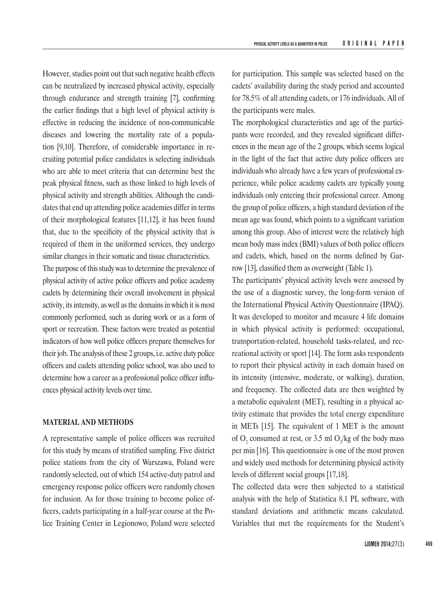However, studies point out that such negative health effects can be neutralized by increased physical activity, especially through endurance and strength training [7], confirming the earlier findings that a high level of physical activity is effective in reducing the incidence of non-communicable diseases and lowering the mortality rate of a population [9,10]. Therefore, of considerable importance in recruiting potential police candidates is selecting individuals who are able to meet criteria that can determine best the peak physical fitness, such as those linked to high levels of physical activity and strength abilities. Although the candidates that end up attending police academies differ in terms of their morphological features [11,12], it has been found that, due to the specificity of the physical activity that is required of them in the uniformed services, they undergo similar changes in their somatic and tissue characteristics.

The purpose of this study was to determine the prevalence of physical activity of active police officers and police academy cadets by determining their overall involvement in physical activity, its intensity, as well as the domains in which it is most commonly performed, such as during work or as a form of sport or recreation. These factors were treated as potential indicators of how well police officers prepare themselves for their job. The analysis of these 2 groups, i.e. active duty police officers and cadets attending police school, was also used to determine how a career as a professional police officer influences physical activity levels over time.

## **MATERIAL AND METHODS**

A representative sample of police officers was recruited for this study by means of stratified sampling. Five district police stations from the city of Warszawa, Poland were randomly selected, out of which 154 active-duty patrol and emergency response police officers were randomly chosen for inclusion. As for those training to become police officers, cadets participating in a half-year course at the Police Training Center in Legionowo, Poland were selected

for participation. This sample was selected based on the cadets' availability during the study period and accounted for 78.5% of all attending cadets, or 176 individuals. All of the participants were males.

The morphological characteristics and age of the participants were recorded, and they revealed significant differences in the mean age of the 2 groups, which seems logical in the light of the fact that active duty police officers are individuals who already have a few years of professional experience, while police academy cadets are typically young individuals only entering their professional career. Among the group of police officers, a high standard deviation of the mean age was found, which points to a significant variation among this group. Also of interest were the relatively high mean body mass index (BMI) values of both police officers and cadets, which, based on the norms defined by Garrow [13], classified them as overweight (Table 1).

The participants' physical activity levels were assessed by the use of a diagnostic survey, the long-form version of the International Physical Activity Questionnaire (IPAQ). It was developed to monitor and measure 4 life domains in which physical activity is performed: occupational, transportation-related, household tasks-related, and recreational activity or sport [14]. The form asks respondents to report their physical activity in each domain based on its intensity (intensive, moderate, or walking), duration, and frequency. The collected data are then weighted by a metabolic equivalent (MET), resulting in a physical activity estimate that provides the total energy expenditure in METs [15]. The equivalent of 1 MET is the amount of  $O_2$  consumed at rest, or 3.5 ml  $O_2$ /kg of the body mass per min [16]. This questionnaire is one of the most proven and widely used methods for determining physical activity levels of different social groups [17,18].

The collected data were then subjected to a statistical analysis with the help of Statistica 8.1 PL software, with standard deviations and arithmetic means calculated. Variables that met the requirements for the Student's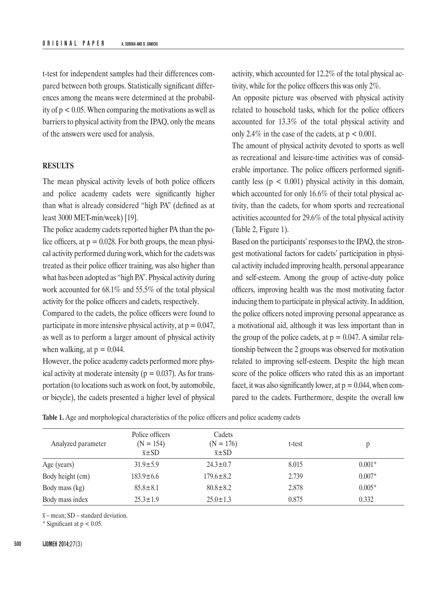t-test for independent samples had their differences compared between both groups. Statistically significant differences among the means were determined at the probability of  $p < 0.05$ . When comparing the motivations as well as barriers to physical activity from the IPAQ, only the means of the answers were used for analysis.

### **RESULTS**

The mean physical activity levels of both police officers and police academy cadets were significantly higher than what is already considered "high PA" (defined as at least 3000 MET-min/week) [19].

The police academy cadets reported higher PA than the police officers, at  $p = 0.028$ . For both groups, the mean physical activity performed during work, which for the cadets was treated as their police officer training, was also higher than what has been adopted as "high PA". Physical activity during work accounted for 68.1% and 55.5% of the total physical activity for the police officers and cadets, respectively.

Compared to the cadets, the police officers were found to participate in more intensive physical activity, at  $p = 0.047$ , as well as to perform a larger amount of physical activity when walking, at  $p = 0.044$ .

However, the police academy cadets performed more physical activity at moderate intensity ( $p = 0.037$ ). As for transportation (to locations such as work on foot, by automobile, or bicycle), the cadets presented a higher level of physical activity, which accounted for 12.2% of the total physical activity, while for the police officers this was only 2%.

An opposite picture was observed with physical activity related to household tasks, which for the police officers accounted for 13.3% of the total physical activity and only 2.4% in the case of the cadets, at  $p < 0.001$ .

The amount of physical activity devoted to sports as well as recreational and leisure-time activities was of considerable importance. The police officers performed significantly less ( $p < 0.001$ ) physical activity in this domain, which accounted for only 16.6% of their total physical activity, than the cadets, for whom sports and recreational activities accounted for 29.6% of the total physical activity (Table 2, Figure 1).

Based on the participants' responses to the IPAQ, the strongest motivational factors for cadets' participation in physical activity included improving health, personal appearance and self-esteem. Among the group of active-duty police officers, improving health was the most motivating factor inducing them to participate in physical activity. In addition, the police officers noted improving personal appearance as a motivational aid, although it was less important than in the group of the police cadets, at  $p = 0.047$ . A similar relationship between the 2 groups was observed for motivation related to improving self-esteem. Despite the high mean score of the police officers who rated this as an important facet, it was also significantly lower, at  $p = 0.044$ , when compared to the cadets. Furthermore, despite the overall low

| <b>Table 1.</b> Age and morphological characteristics of the police officers and police academy cadets |
|--------------------------------------------------------------------------------------------------------|
|--------------------------------------------------------------------------------------------------------|

| Analyzed parameter | Police officers<br>$(N = 154)$<br>$\bar{x}$ ±SD | Cadets<br>$(N = 176)$<br>$\bar{x}$ ±SD | t-test |          |
|--------------------|-------------------------------------------------|----------------------------------------|--------|----------|
| Age (years)        | $31.9 \pm 5.9$                                  | $24.3 \pm 0.7$                         | 8.015  | $0.001*$ |
| Body height (cm)   | $183.9 \pm 6.6$                                 | $179.6 \pm 8.2$                        | 2.739  | $0.007*$ |
| Body mass (kg)     | $85.8 \pm 8.1$                                  | $80.8 \pm 8.2$                         | 2.878  | $0.005*$ |
| Body mass index    | $25.3 \pm 1.9$                                  | $25.0 \pm 1.3$                         | 0.875  | 0.332    |

 $\bar{x}$  – mean; SD – standard deviation.

\* Significant at  $p < 0.05$ .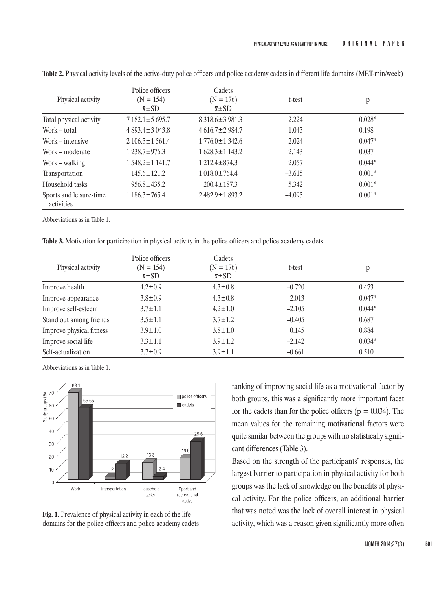| Physical activity                     | Police officers<br>$(N = 154)$<br>$\bar{x}$ ±SD | Cadets<br>$(N = 176)$<br>$\bar{x}$ ±SD | t-test   | p        |
|---------------------------------------|-------------------------------------------------|----------------------------------------|----------|----------|
| Total physical activity               | $7182.1 \pm 5695.7$                             | $8318.6 \pm 3981.3$                    | $-2.224$ | $0.028*$ |
| Work – total                          | $4893.4 \pm 3043.8$                             | $4616.7 \pm 2984.7$                    | 1.043    | 0.198    |
| Work – intensive                      | $2106.5 \pm 1561.4$                             | $1776.0 \pm 1342.6$                    | 2.024    | $0.047*$ |
| Work – moderate                       | $1238.7 \pm 976.3$                              | $1628.3 \pm 1143.2$                    | 2.143    | 0.037    |
| Work – walking                        | 1548.2±1141.7                                   | $1212.4 \pm 874.3$                     | 2.057    | $0.044*$ |
| Transportation                        | $145.6 \pm 121.2$                               | $1018.0 \pm 764.4$                     | $-3.615$ | $0.001*$ |
| Household tasks                       | $956.8 + 435.2$                                 | $200.4 \pm 187.3$                      | 5.342    | $0.001*$ |
| Sports and leisure-time<br>activities | $1186.3 \pm 765.4$                              | $2482.9 \pm 1893.2$                    | $-4.095$ | $0.001*$ |

**Table 2.** Physical activity levels of the active-duty police officers and police academy cadets in different life domains (MET-min/week)

Abbreviations as in Table 1.

**Table 3.** Motivation for participation in physical activity in the police officers and police academy cadets

| Physical activity        | Police officers<br>$(N = 154)$<br>$\bar{x}$ ±SD | Cadets<br>$(N = 176)$<br>$\bar{x}$ ±SD | t-test   | p        |
|--------------------------|-------------------------------------------------|----------------------------------------|----------|----------|
| Improve health           | $4.2 \pm 0.9$                                   | $4.3 \pm 0.8$                          | $-0.720$ | 0.473    |
| Improve appearance       | $3.8 \pm 0.9$                                   | $4.3 \pm 0.8$                          | 2.013    | $0.047*$ |
| Improve self-esteem      | $3.7 \pm 1.1$                                   | $4.2 \pm 1.0$                          | $-2.105$ | $0.044*$ |
| Stand out among friends  | $3.5 \pm 1.1$                                   | $3.7 \pm 1.2$                          | $-0.405$ | 0.687    |
| Improve physical fitness | $3.9 \pm 1.0$                                   | $3.8 \pm 1.0$                          | 0.145    | 0.884    |
| Improve social life      | $3.3 \pm 1.1$                                   | $3.9 \pm 1.2$                          | $-2.142$ | $0.034*$ |
| Self-actualization       | $3.7 \pm 0.9$                                   | $3.9 \pm 1.1$                          | $-0.661$ | 0.510    |

Abbreviations as in Table 1.



**Fig. 1.** Prevalence of physical activity in each of the life domains for the police officers and police academy cadets

ranking of improving social life as a motivational factor by both groups, this was a significantly more important facet for the cadets than for the police officers ( $p = 0.034$ ). The mean values for the remaining motivational factors were quite similar between the groups with no statistically significant differences (Table 3).

Based on the strength of the participants' responses, the largest barrier to participation in physical activity for both groups was the lack of knowledge on the benefits of physical activity. For the police officers, an additional barrier that was noted was the lack of overall interest in physical activity, which was a reason given significantly more often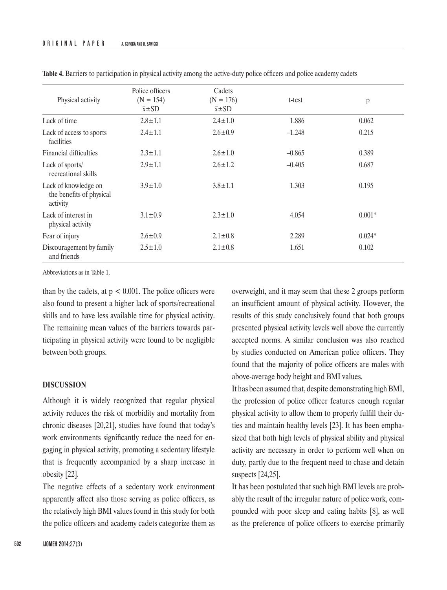|                                                              | Police officers                 | Cadets                       |          |          |
|--------------------------------------------------------------|---------------------------------|------------------------------|----------|----------|
| Physical activity                                            | $(N = 154)$<br>$\bar{x} \pm SD$ | $(N = 176)$<br>$\bar{x}$ ±SD | t-test   | p        |
| Lack of time                                                 | $2.8 \pm 1.1$                   | $2.4 \pm 1.0$                | 1.886    | 0.062    |
| Lack of access to sports<br>facilities                       | $2.4 \pm 1.1$                   | $2.6 \pm 0.9$                | $-1.248$ | 0.215    |
| Financial difficulties                                       | $2.3 \pm 1.1$                   | $2.6 \pm 1.0$                | $-0.865$ | 0.389    |
| Lack of sports/<br>recreational skills                       | $2.9 \pm 1.1$                   | $2.6 \pm 1.2$                | $-0.405$ | 0.687    |
| Lack of knowledge on<br>the benefits of physical<br>activity | $3.9 \pm 1.0$                   | $3.8 \pm 1.1$                | 1.303    | 0.195    |
| Lack of interest in<br>physical activity                     | $3.1 \pm 0.9$                   | $2.3 \pm 1.0$                | 4.054    | $0.001*$ |
| Fear of injury                                               | $2.6 \pm 0.9$                   | $2.1 \pm 0.8$                | 2.289    | $0.024*$ |
| Discouragement by family<br>and friends                      | $2.5 \pm 1.0$                   | $2.1 \pm 0.8$                | 1.651    | 0.102    |

**Table 4.** Barriers to participation in physical activity among the active-duty police officers and police academy cadets

Abbreviations as in Table 1.

than by the cadets, at  $p < 0.001$ . The police officers were also found to present a higher lack of sports/recreational skills and to have less available time for physical activity. The remaining mean values of the barriers towards participating in physical activity were found to be negligible between both groups.

### **DISCUSSION**

Although it is widely recognized that regular physical activity reduces the risk of morbidity and mortality from chronic diseases [20,21], studies have found that today's work environments significantly reduce the need for engaging in physical activity, promoting a sedentary lifestyle that is frequently accompanied by a sharp increase in obesity [22].

The negative effects of a sedentary work environment apparently affect also those serving as police officers, as the relatively high BMI values found in this study for both the police officers and academy cadets categorize them as overweight, and it may seem that these 2 groups perform an insufficient amount of physical activity. However, the results of this study conclusively found that both groups presented physical activity levels well above the currently accepted norms. A similar conclusion was also reached by studies conducted on American police officers. They found that the majority of police officers are males with above-average body height and BMI values.

It has been assumed that, despite demonstrating high BMI, the profession of police officer features enough regular physical activity to allow them to properly fulfill their duties and maintain healthy levels [23]. It has been emphasized that both high levels of physical ability and physical activity are necessary in order to perform well when on duty, partly due to the frequent need to chase and detain suspects [24,25].

It has been postulated that such high BMI levels are probably the result of the irregular nature of police work, compounded with poor sleep and eating habits [8], as well as the preference of police officers to exercise primarily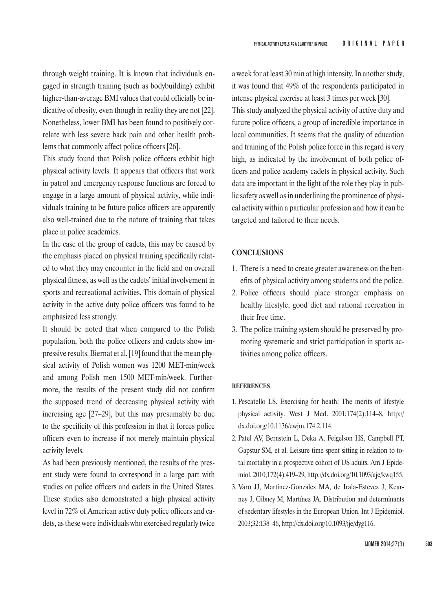through weight training. It is known that individuals engaged in strength training (such as bodybuilding) exhibit higher-than-average BMI values that could officially be indicative of obesity, even though in reality they are not [22]. Nonetheless, lower BMI has been found to positively correlate with less severe back pain and other health problems that commonly affect police officers [26].

This study found that Polish police officers exhibit high physical activity levels. It appears that officers that work in patrol and emergency response functions are forced to engage in a large amount of physical activity, while individuals training to be future police officers are apparently also well-trained due to the nature of training that takes place in police academies.

In the case of the group of cadets, this may be caused by the emphasis placed on physical training specifically related to what they may encounter in the field and on overall physical fitness, as well as the cadets' initial involvement in sports and recreational activities. This domain of physical activity in the active duty police officers was found to be emphasized less strongly.

It should be noted that when compared to the Polish population, both the police officers and cadets show impressive results. Biernat et al.[19] found that the mean physical activity of Polish women was 1200 MET-min/week and among Polish men 1500 MET-min/week. Furthermore, the results of the present study did not confirm the supposed trend of decreasing physical activity with increasing age [27–29], but this may presumably be due to the specificity of this profession in that it forces police officers even to increase if not merely maintain physical activity levels.

As had been previously mentioned, the results of the present study were found to correspond in a large part with studies on police officers and cadets in the United States. These studies also demonstrated a high physical activity level in 72% of American active duty police officers and cadets, as these were individuals who exercised regularly twice

a week for at least 30 min at high intensity. In another study, it was found that 49% of the respondents participated in intense physical exercise at least 3 times per week [30]. This study analyzed the physical activity of active duty and future police officers, a group of incredible importance in local communities. It seems that the quality of education and training of the Polish police force in this regard is very high, as indicated by the involvement of both police officers and police academy cadets in physical activity. Such data are important in the light of the role they play in public safety as well as in underlining the prominence of physical activity within a particular profession and how it can be targeted and tailored to their needs.

## **CONCLUSIONS**

- 1. There is a need to create greater awareness on the benefits of physical activity among students and the police.
- 2. Police officers should place stronger emphasis on healthy lifestyle, good diet and rational recreation in their free time.
- 3. The police training system should be preserved by promoting systematic and strict participation in sports activities among police officers.

#### **REFERENCES**

- 1. Pescatello LS. Exercising for heath: The merits of lifestyle physical activity. West J Med. 2001;174(2):114–8, [http://](http://dx.doi.org/10.1136/ewjm.174.2.114) [dx.doi.org/10.1136/ewjm.174.2.114](http://dx.doi.org/10.1136/ewjm.174.2.114).
- 2. Patel AV, Bernstein L, Deka A, Feigelson HS, Campbell PT, Gapstur SM, et al. Leisure time spent sitting in relation to total mortality in a prospective cohort of US adults. Am J Epidemiol. 2010;172(4):419–29, [http://dx.doi.org/10.1093/aje/kwq155.](http://dx.doi.org/10.1093/aje/kwq155)
- 3. Varo JJ, Martinez-Gonzalez MA, de Irala-Estevez J, Kearney J, Gibney M, Martínez JA. Distribution and determinants of sedentary lifestyles in the European Union. Int J Epidemiol. 2003;32:138–46,<http://dx.doi.org/10.1093/ije/dyg116>.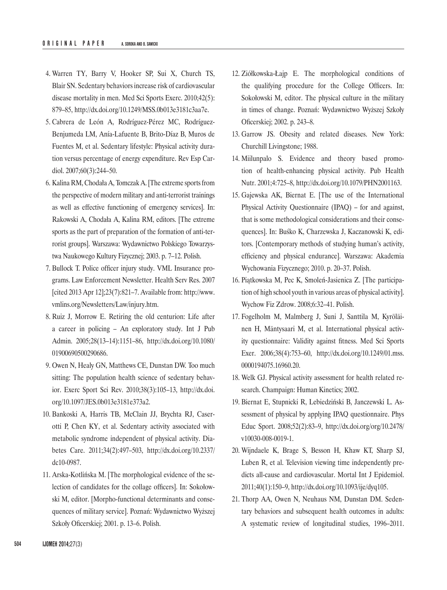- 4. Warren TY, Barry V, Hooker SP, Sui X, Church TS, Blair SN. Sedentary behaviors increase risk of cardiovascular disease mortality in men. Med Sci Sports Exerc. 2010;42(5): 879–85,<http://dx.doi.org/10.1249/MSS.0b013e3181c3aa7e>.
- 5. Cabrera de León A, Rodríguez-Pérez MC, Rodríguez-Benjumeda LM, Anía-Lafuente B, Brito-Díaz B, Muros de Fuentes M, et al. Sedentary lifestyle: Physical activity duration versus percentage of energy expenditure. Rev Esp Cardiol. 2007;60(3):244–50.
- 6. Kalina RM, Chodała A, Tomczak A. [The extreme sports from the perspective of modern military and anti-terrorist trainings as well as effective functioning of emergency services]. In: Rakowski A, Chodała A, Kalina RM, editors. [The extreme sports as the part of preparation of the formation of anti-terrorist groups]. Warszawa: Wydawnictwo Polskiego Towarzystwa Naukowego Kultury Fizycznej; 2003. p. 7–12. Polish.
- 7. Bullock T. Police officer injury study. VML Insurance programs. Law Enforcement Newsletter. Health Serv Res. 2007 [cited 2013 Apr 12];23(7):821–7. Available from: [http://www.](http://www.vmlins.org/Newsletters/Law/injury.htm) [vmlins.org/Newsletters/Law/injury.htm](http://www.vmlins.org/Newsletters/Law/injury.htm).
- 8. Ruiz J, Morrow E. Retiring the old centurion: Life after a career in policing – An exploratory study. Int J Pub Admin. 2005;28(13–14):1151–86, [http://dx.doi.org/10.1080/](http://dx.doi.org/10.1080/01900690500290686) [01900690500290686](http://dx.doi.org/10.1080/01900690500290686).
- 9. Owen N, Healy GN, Matthews CE, Dunstan DW. Too much sitting: The population health science of sedentary behavior. Exerc Sport Sci Rev. 2010;38(3):105–13, [http://dx.doi.](http://dx.doi.org/10.1097/JES.0b013e3181e373a2) [org/10.1097/JES.0b013e3181e373a2](http://dx.doi.org/10.1097/JES.0b013e3181e373a2).
- 10. Bankoski A, Harris TB, McClain JJ, Brychta RJ, Caserotti P, Chen KY, et al. Sedentary activity associated with metabolic syndrome independent of physical activity. Diabetes Care. 2011;34(2):497–503, [http://dx.doi.org/10.2337/](http://dx.doi.org/10.2337/dc10-0987) [dc10-0987](http://dx.doi.org/10.2337/dc10-0987).
- 11. Arska-Kotlińska M. [The morphological evidence of the selection of candidates for the collage officers]. In: Sokołowski M, editor. [Morpho-functional determinants and consequences of military service]. Poznań: Wydawnictwo Wyższej Szkoły Oficerskiej; 2001. p. 13–6. Polish.
- 12. Ziółkowska-Łajp E. The morphological conditions of the qualifying procedure for the College Officers. In: Sokołowski M, editor. The physical culture in the military in times of change. Poznań: Wydawnictwo Wyższej Szkoły Oficerskiej; 2002. p. 243–8.
- 13. Garrow JS. Obesity and related diseases. New York: Churchill Livingstone; 1988.
- 14. Miilunpalo S. Evidence and theory based promotion of health-enhancing physical activity. Pub Health Nutr. 2001;4:725–8, <http://dx.doi.org/10.1079/PHN2001163>.
- 15. Gajewska AK, Biernat E. [The use of the International Physical Activity Questionnaire (IPAQ) – for and against, that is some methodological considerations and their consequences]. In: Buśko K, Charzewska J, Kaczanowski K, editors. [Contemporary methods of studying human's activity, efficiency and physical endurance]. Warszawa: Akademia Wychowania Fizycznego; 2010. p. 20–37. Polish.
- 16. Piątkowska M, Pec K, Smoleń-Jasienica Z. [The participation of high school youth in various areas of physical activity]. Wychow Fiz Zdrow. 2008;6:32–41. Polish.
- 17. Fogelholm M, Malmberg J, Suni J, Santtila M, Kyröläinen H, Mäntysaari M, et al. International physical activity questionnaire: Validity against fitness. Med Sci Sports Exer. 2006;38(4):753–60, [http://dx.doi.org/10.1249/01.mss.](http://dx.doi.org/10.1249/01.mss.0000194075.16960.20)  [0000194075.16960.20](http://dx.doi.org/10.1249/01.mss.0000194075.16960.20).
- 18. Welk GJ. Physical activity assessment for health related research. Champaign: Human Kinetics; 2002.
- 19. Biernat E, Stupnicki R, Lebiedziński B, Janczewski L. Assessment of physical by applying IPAQ questionnaire. Phys Educ Sport. 2008;52(2):83–9, [http://dx.doi.org/org/10.2478/](http://dx.doi.org/org/10.2478/v10030-008-0019-1) [v10030-008-0019-1](http://dx.doi.org/org/10.2478/v10030-008-0019-1).
- 20. Wijndaele K, Brage S, Besson H, Khaw KT, Sharp SJ, Luben R, et al. Television viewing time independently predicts all-cause and cardiovascular. Mortal Int J Epidemiol. 2011;40(1):150–9,<http://dx.doi.org/10.1093/ije/dyq105>.
- 21. Thorp AA, Owen N, Neuhaus NM, Dunstan DM. Sedentary behaviors and subsequent health outcomes in adults: A systematic review of longitudinal studies, 1996–2011.